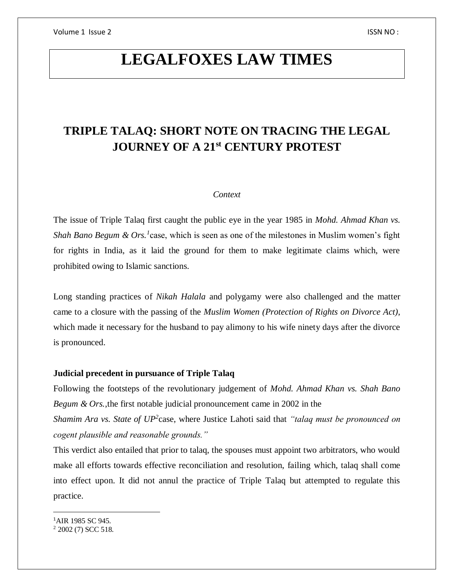# **LEGALFOXES LAW TIMES**

## **TRIPLE TALAQ: SHORT NOTE ON TRACING THE LEGAL JOURNEY OF A 21st CENTURY PROTEST**

### *Context*

The issue of Triple Talaq first caught the public eye in the year 1985 in *Mohd. Ahmad Khan vs. Shah Bano Begum & Ors.*<sup>1</sup> case, which is seen as one of the milestones in Muslim women's fight for rights in India, as it laid the ground for them to make legitimate claims which, were prohibited owing to Islamic sanctions.

Long standing practices of *Nikah Halala* and polygamy were also challenged and the matter came to a closure with the passing of the *Muslim Women (Protection of Rights on Divorce Act)*, which made it necessary for the husband to pay alimony to his wife ninety days after the divorce is pronounced.

## **Judicial precedent in pursuance of Triple Talaq**

Following the footsteps of the revolutionary judgement of *Mohd. Ahmad Khan vs. Shah Bano Begum & Ors.*,the first notable judicial pronouncement came in 2002 in the

*Shamim Ara vs. State of UP<sup>2</sup>* case, where Justice Lahoti said that *"talaq must be pronounced on cogent plausible and reasonable grounds."*

This verdict also entailed that prior to talaq, the spouses must appoint two arbitrators, who would make all efforts towards effective reconciliation and resolution, failing which, talaq shall come into effect upon. It did not annul the practice of Triple Talaq but attempted to regulate this practice.

<sup>1</sup>AIR 1985 SC 945.

 $\overline{\phantom{a}}$ 

<sup>2</sup> 2002 (7) SCC 518.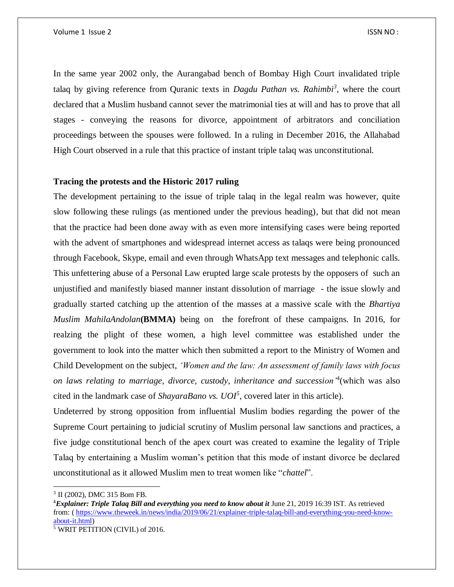In the same year 2002 only, the Aurangabad bench of Bombay High Court invalidated triple talaq by giving reference from Quranic texts in *Dagdu Pathan vs. Rahimbi<sup>3</sup>* , where the court declared that a Muslim husband cannot sever the matrimonial ties at will and has to prove that all stages - conveying the reasons for divorce, appointment of arbitrators and conciliation proceedings between the spouses were followed. In a ruling in December 2016, the Allahabad High Court observed in a rule that this practice of instant triple talaq was unconstitutional.

## **Tracing the protests and the Historic 2017 ruling**

The development pertaining to the issue of triple talaq in the legal realm was however, quite slow following these rulings (as mentioned under the previous heading), but that did not mean that the practice had been done away with as even more intensifying cases were being reported with the advent of smartphones and widespread internet access as talaqs were being pronounced through Facebook, Skype, email and even through WhatsApp text messages and telephonic calls. This unfettering abuse of a Personal Law erupted large scale protests by the opposers of such an unjustified and manifestly biased manner instant dissolution of marriage - the issue slowly and gradually started catching up the attention of the masses at a massive scale with the *Bhartiya Muslim MahilaAndolan***(BMMA)** being on the forefront of these campaigns. In 2016, for realzing the plight of these women, a high level committee was established under the government to look into the matter which then submitted a report to the Ministry of Women and Child Development on the subject, *'Women and the law: An assessment of family laws with focus on laws relating to marriage, divorce, custody, inheritance and succession'*<sup>4</sup> (which was also cited in the landmark case of *ShayaraBano vs. UOI<sup>5</sup>* , covered later in this article).

Undeterred by strong opposition from influential Muslim bodies regarding the power of the Supreme Court pertaining to judicial scrutiny of Muslim personal law sanctions and practices, a five judge constitutional bench of the apex court was created to examine the legality of Triple Talaq by entertaining a Muslim woman's petition that this mode of instant divorce be declared unconstitutional as it allowed Muslim men to treat women like "*chattel*".

 $\overline{\phantom{a}}$ 

<sup>3</sup> II (2002), DMC 315 Bom FB.

<sup>4</sup>*Explainer: Triple Talaq Bill and everything you need to know about it* June 21, 2019 16:39 IST. As retrieved from: [\( https://www.theweek.in/news/india/2019/06/21/explainer-triple-talaq-bill-and-everything-you-need-know](https://www.theweek.in/news/india/2019/06/21/explainer-triple-talaq-bill-and-everything-you-need-know-about-it.html)[about-it.html\)](https://www.theweek.in/news/india/2019/06/21/explainer-triple-talaq-bill-and-everything-you-need-know-about-it.html)

<sup>5</sup> WRIT PETITION (CIVIL) of 2016.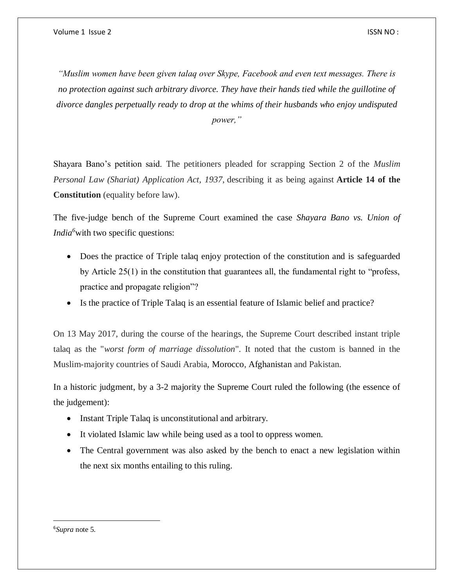*"Muslim women have been given talaq over Skype, Facebook and even text messages. There is no protection against such arbitrary divorce. They have their hands tied while the guillotine of divorce dangles perpetually ready to drop at the whims of their husbands who enjoy undisputed* 

*power,"*

Shayara Bano's petition said. The petitioners pleaded for scrapping Section 2 of the *Muslim Personal Law (Shariat) Application Act, 1937*, describing it as being against **Article 14 of the Constitution** (equality before law).

The five-judge bench of the Supreme Court examined the case *Shayara Bano vs. Union of India*<sup>6</sup>with two specific questions:

- Does the practice of Triple talaq enjoy protection of the constitution and is safeguarded by Article 25(1) in the constitution that guarantees all, the fundamental right to "profess, practice and propagate religion"?
- Is the practice of Triple Talaq is an essential feature of Islamic belief and practice?

On 13 May 2017, during the course of the hearings, the Supreme Court described instant triple talaq as the "*worst form of marriage dissolution*". It noted that the custom is banned in the Muslim-majority countries of Saudi Arabia, Morocco, Afghanistan and Pakistan.

In a historic judgment, by a 3-2 majority the Supreme Court ruled the following (the essence of the judgement):

- Instant Triple Talaq is unconstitutional and arbitrary.
- It violated Islamic law while being used as a tool to oppress women.
- The Central government was also asked by the bench to enact a new legislation within the next six months entailing to this ruling.

6*Supra* note 5.

 $\overline{a}$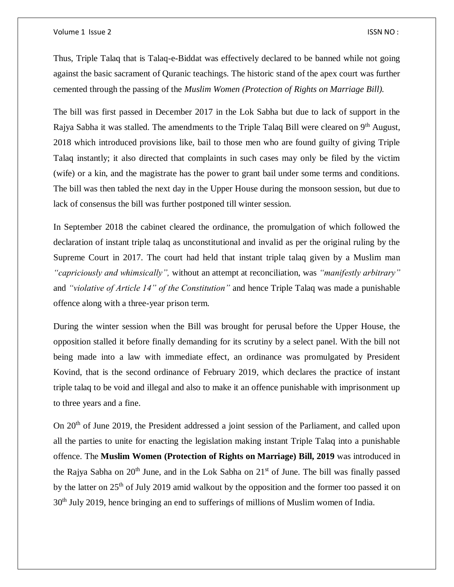#### Volume 1 Issue 2 ISSN NO :

Thus, Triple Talaq that is Talaq-e-Biddat was effectively declared to be banned while not going against the basic sacrament of Quranic teachings. The historic stand of the apex court was further cemented through the passing of the *Muslim Women (Protection of Rights on Marriage Bill).* 

The bill was first passed in December 2017 in the Lok Sabha but due to lack of support in the Rajya Sabha it was stalled. The amendments to the Triple Talaq Bill were cleared on 9<sup>th</sup> August. 2018 which introduced provisions like, bail to those men who are found guilty of giving Triple Talaq instantly; it also directed that complaints in such cases may only be filed by the victim (wife) or a kin, and the magistrate has the power to grant bail under some terms and conditions. The bill was then tabled the next day in the Upper House during the monsoon session, but due to lack of consensus the bill was further postponed till winter session.

In September 2018 the cabinet cleared the ordinance, the promulgation of which followed the declaration of instant triple talaq as unconstitutional and invalid as per the original ruling by the Supreme Court in 2017. The court had held that instant triple talaq given by a Muslim man *"capriciously and whimsically",* without an attempt at reconciliation, was *"manifestly arbitrary"*  and *"violative of Article 14" of the Constitution"* and hence Triple Talaq was made a punishable offence along with a three-year prison term.

During the winter session when the Bill was brought for perusal before the Upper House, the opposition stalled it before finally demanding for its scrutiny by a select panel. With the bill not being made into a law with immediate effect, an ordinance was promulgated by President Kovind, that is the second ordinance of February 2019, which declares the practice of instant triple talaq to be void and illegal and also to make it an offence punishable with imprisonment up to three years and a fine.

On 20<sup>th</sup> of June 2019, the President addressed a joint session of the Parliament, and called upon all the parties to unite for enacting the legislation making instant Triple Talaq into a punishable offence. The **Muslim Women (Protection of Rights on Marriage) Bill, 2019** was introduced in the Rajya Sabha on  $20<sup>th</sup>$  June, and in the Lok Sabha on  $21<sup>st</sup>$  of June. The bill was finally passed by the latter on 25<sup>th</sup> of July 2019 amid walkout by the opposition and the former too passed it on 30th July 2019, hence bringing an end to sufferings of millions of Muslim women of India.